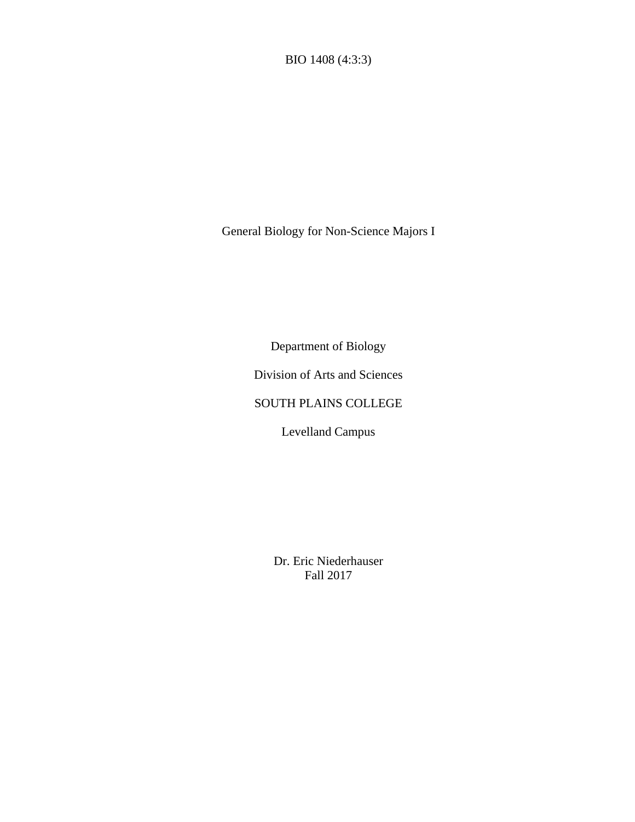BIO 1408 (4:3:3)

General Biology for Non-Science Majors I

Department of Biology

Division of Arts and Sciences

# SOUTH PLAINS COLLEGE

Levelland Campus

Dr. Eric Niederhauser Fall 2017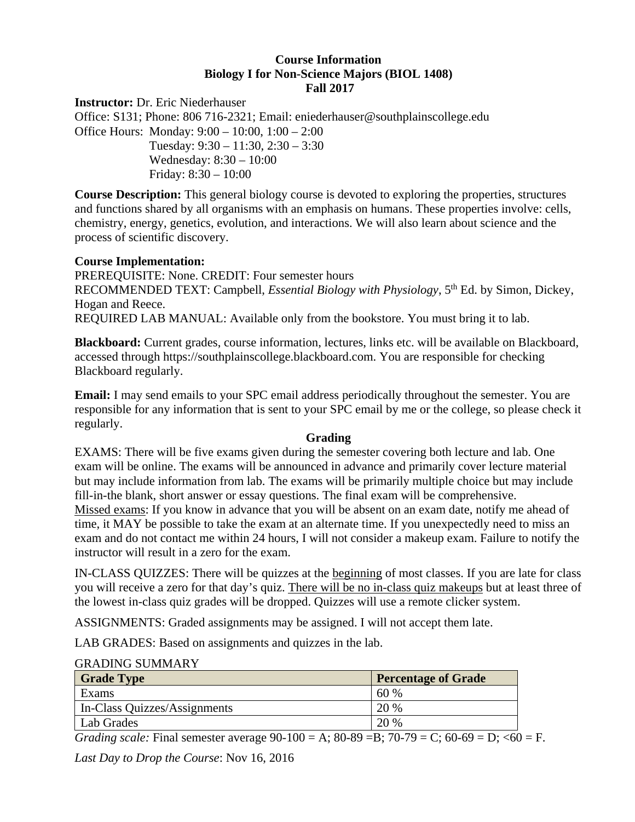## **Course Information Biology I for Non-Science Majors (BIOL 1408) Fall 2017**

**Instructor:** Dr. Eric Niederhauser Office: S131; Phone: 806 716-2321; Email: eniederhauser@southplainscollege.edu Office Hours: Monday: 9:00 – 10:00, 1:00 – 2:00 Tuesday: 9:30 – 11:30, 2:30 – 3:30 Wednesday: 8:30 – 10:00 Friday: 8:30 – 10:00

**Course Description:** This general biology course is devoted to exploring the properties, structures and functions shared by all organisms with an emphasis on humans. These properties involve: cells, chemistry, energy, genetics, evolution, and interactions. We will also learn about science and the process of scientific discovery.

### **Course Implementation:**

PREREQUISITE: None. CREDIT: Four semester hours RECOMMENDED TEXT: Campbell, *Essential Biology with Physiology*, 5<sup>th</sup> Ed. by Simon, Dickey, Hogan and Reece. REQUIRED LAB MANUAL: Available only from the bookstore. You must bring it to lab.

**Blackboard:** Current grades, course information, lectures, links etc. will be available on Blackboard, accessed through https://southplainscollege.blackboard.com. You are responsible for checking Blackboard regularly.

**Email:** I may send emails to your SPC email address periodically throughout the semester. You are responsible for any information that is sent to your SPC email by me or the college, so please check it regularly.

### **Grading**

EXAMS: There will be five exams given during the semester covering both lecture and lab. One exam will be online. The exams will be announced in advance and primarily cover lecture material but may include information from lab. The exams will be primarily multiple choice but may include fill-in-the blank, short answer or essay questions. The final exam will be comprehensive. Missed exams: If you know in advance that you will be absent on an exam date, notify me ahead of time, it MAY be possible to take the exam at an alternate time. If you unexpectedly need to miss an exam and do not contact me within 24 hours, I will not consider a makeup exam. Failure to notify the instructor will result in a zero for the exam.

IN-CLASS QUIZZES: There will be quizzes at the beginning of most classes. If you are late for class you will receive a zero for that day's quiz. There will be no in-class quiz makeups but at least three of the lowest in-class quiz grades will be dropped. Quizzes will use a remote clicker system.

ASSIGNMENTS: Graded assignments may be assigned. I will not accept them late.

LAB GRADES: Based on assignments and quizzes in the lab.

#### GRADING SUMMARY

| <b>Grade Type</b>            | <b>Percentage of Grade</b> |
|------------------------------|----------------------------|
| Exams                        | 60 %                       |
| In-Class Quizzes/Assignments | 20 %                       |
| Lab Grades                   | 20 %                       |

*Grading scale:* Final semester average  $90-100 = A$ ;  $80-89 = B$ ;  $70-79 = C$ ;  $60-69 = D$ ;  $60 = F$ .

*Last Day to Drop the Course*: Nov 16, 2016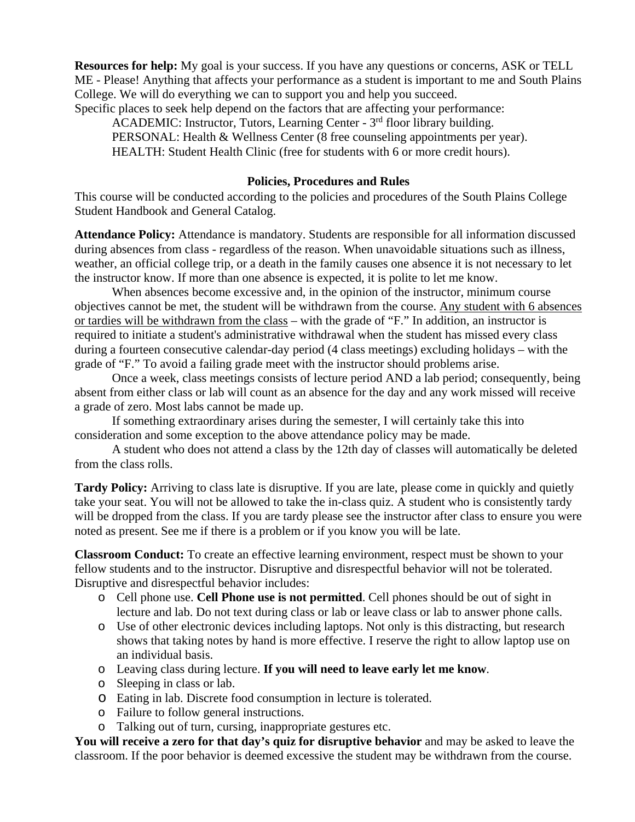**Resources for help:** My goal is your success. If you have any questions or concerns, ASK or TELL ME - Please! Anything that affects your performance as a student is important to me and South Plains College. We will do everything we can to support you and help you succeed.

Specific places to seek help depend on the factors that are affecting your performance:

ACADEMIC: Instructor, Tutors, Learning Center - 3<sup>rd</sup> floor library building.

PERSONAL: Health & Wellness Center (8 free counseling appointments per year).

HEALTH: Student Health Clinic (free for students with 6 or more credit hours).

## **Policies, Procedures and Rules**

This course will be conducted according to the policies and procedures of the South Plains College Student Handbook and General Catalog.

**Attendance Policy:** Attendance is mandatory. Students are responsible for all information discussed during absences from class - regardless of the reason. When unavoidable situations such as illness, weather, an official college trip, or a death in the family causes one absence it is not necessary to let the instructor know. If more than one absence is expected, it is polite to let me know.

When absences become excessive and, in the opinion of the instructor, minimum course objectives cannot be met, the student will be withdrawn from the course. Any student with 6 absences or tardies will be withdrawn from the class – with the grade of "F." In addition, an instructor is required to initiate a student's administrative withdrawal when the student has missed every class during a fourteen consecutive calendar-day period (4 class meetings) excluding holidays – with the grade of "F." To avoid a failing grade meet with the instructor should problems arise.

Once a week, class meetings consists of lecture period AND a lab period; consequently, being absent from either class or lab will count as an absence for the day and any work missed will receive a grade of zero. Most labs cannot be made up.

If something extraordinary arises during the semester, I will certainly take this into consideration and some exception to the above attendance policy may be made.

 A student who does not attend a class by the 12th day of classes will automatically be deleted from the class rolls.

**Tardy Policy:** Arriving to class late is disruptive. If you are late, please come in quickly and quietly take your seat. You will not be allowed to take the in-class quiz. A student who is consistently tardy will be dropped from the class. If you are tardy please see the instructor after class to ensure you were noted as present. See me if there is a problem or if you know you will be late.

**Classroom Conduct:** To create an effective learning environment, respect must be shown to your fellow students and to the instructor. Disruptive and disrespectful behavior will not be tolerated. Disruptive and disrespectful behavior includes:

- o Cell phone use. **Cell Phone use is not permitted**. Cell phones should be out of sight in lecture and lab. Do not text during class or lab or leave class or lab to answer phone calls.
- o Use of other electronic devices including laptops. Not only is this distracting, but research shows that taking notes by hand is more effective. I reserve the right to allow laptop use on an individual basis.
- o Leaving class during lecture. **If you will need to leave early let me know**.
- o Sleeping in class or lab.
- o Eating in lab. Discrete food consumption in lecture is tolerated.
- o Failure to follow general instructions.
- o Talking out of turn, cursing, inappropriate gestures etc.

**You will receive a zero for that day's quiz for disruptive behavior** and may be asked to leave the classroom. If the poor behavior is deemed excessive the student may be withdrawn from the course.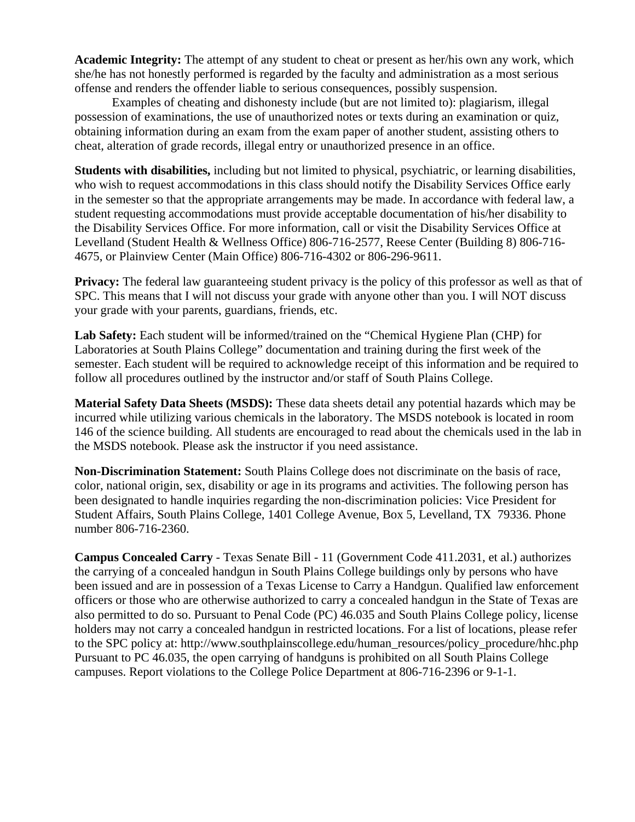**Academic Integrity:** The attempt of any student to cheat or present as her/his own any work, which she/he has not honestly performed is regarded by the faculty and administration as a most serious offense and renders the offender liable to serious consequences, possibly suspension.

 Examples of cheating and dishonesty include (but are not limited to): plagiarism, illegal possession of examinations, the use of unauthorized notes or texts during an examination or quiz, obtaining information during an exam from the exam paper of another student, assisting others to cheat, alteration of grade records, illegal entry or unauthorized presence in an office.

**Students with disabilities,** including but not limited to physical, psychiatric, or learning disabilities, who wish to request accommodations in this class should notify the Disability Services Office early in the semester so that the appropriate arrangements may be made. In accordance with federal law, a student requesting accommodations must provide acceptable documentation of his/her disability to the Disability Services Office. For more information, call or visit the Disability Services Office at Levelland (Student Health & Wellness Office) 806-716-2577, Reese Center (Building 8) 806-716- 4675, or Plainview Center (Main Office) 806-716-4302 or 806-296-9611.

**Privacy:** The federal law guaranteeing student privacy is the policy of this professor as well as that of SPC. This means that I will not discuss your grade with anyone other than you. I will NOT discuss your grade with your parents, guardians, friends, etc.

**Lab Safety:** Each student will be informed/trained on the "Chemical Hygiene Plan (CHP) for Laboratories at South Plains College" documentation and training during the first week of the semester. Each student will be required to acknowledge receipt of this information and be required to follow all procedures outlined by the instructor and/or staff of South Plains College.

**Material Safety Data Sheets (MSDS):** These data sheets detail any potential hazards which may be incurred while utilizing various chemicals in the laboratory. The MSDS notebook is located in room 146 of the science building. All students are encouraged to read about the chemicals used in the lab in the MSDS notebook. Please ask the instructor if you need assistance.

**Non-Discrimination Statement:** South Plains College does not discriminate on the basis of race, color, national origin, sex, disability or age in its programs and activities. The following person has been designated to handle inquiries regarding the non-discrimination policies: Vice President for Student Affairs, South Plains College, 1401 College Avenue, Box 5, Levelland, TX 79336. Phone number 806-716-2360.

**Campus Concealed Carry** - Texas Senate Bill - 11 (Government Code 411.2031, et al.) authorizes the carrying of a concealed handgun in South Plains College buildings only by persons who have been issued and are in possession of a Texas License to Carry a Handgun. Qualified law enforcement officers or those who are otherwise authorized to carry a concealed handgun in the State of Texas are also permitted to do so. Pursuant to Penal Code (PC) 46.035 and South Plains College policy, license holders may not carry a concealed handgun in restricted locations. For a list of locations, please refer to the SPC policy at: http://www.southplainscollege.edu/human\_resources/policy\_procedure/hhc.php Pursuant to PC 46.035, the open carrying of handguns is prohibited on all South Plains College campuses. Report violations to the College Police Department at 806-716-2396 or 9-1-1.